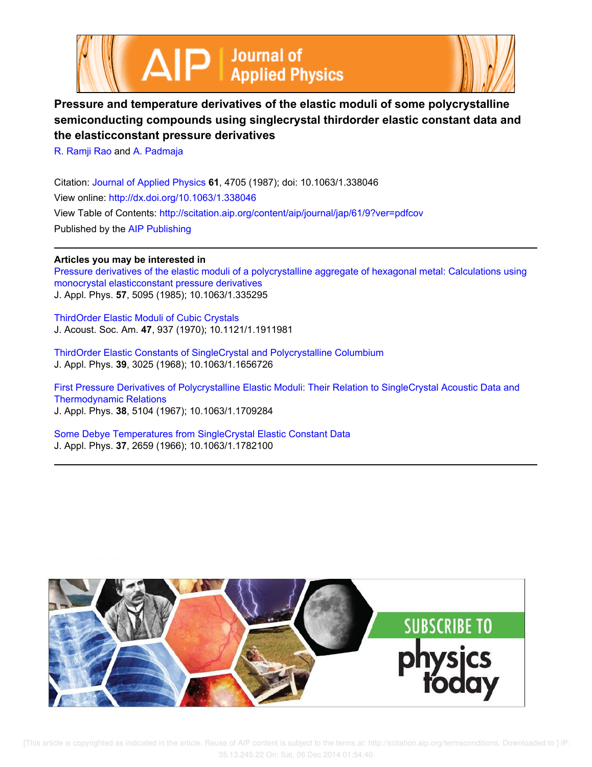



## **Pressure and temperature derivatives of the elastic moduli of some polycrystalline semiconducting compounds using singlecrystal thirdorder elastic constant data and the elasticconstant pressure derivatives**

R. Ramji Rao and A. Padmaja

Citation: Journal of Applied Physics **61**, 4705 (1987); doi: 10.1063/1.338046 View online: http://dx.doi.org/10.1063/1.338046 View Table of Contents: http://scitation.aip.org/content/aip/journal/jap/61/9?ver=pdfcov Published by the AIP Publishing

## **Articles you may be interested in**

Pressure derivatives of the elastic moduli of a polycrystalline aggregate of hexagonal metal: Calculations using monocrystal elasticconstant pressure derivatives J. Appl. Phys. **57**, 5095 (1985); 10.1063/1.335295

ThirdOrder Elastic Moduli of Cubic Crystals J. Acoust. Soc. Am. **47**, 937 (1970); 10.1121/1.1911981

ThirdOrder Elastic Constants of SingleCrystal and Polycrystalline Columbium J. Appl. Phys. **39**, 3025 (1968); 10.1063/1.1656726

First Pressure Derivatives of Polycrystalline Elastic Moduli: Their Relation to SingleCrystal Acoustic Data and Thermodynamic Relations J. Appl. Phys. **38**, 5104 (1967); 10.1063/1.1709284

Some Debye Temperatures from SingleCrystal Elastic Constant Data J. Appl. Phys. **37**, 2659 (1966); 10.1063/1.1782100

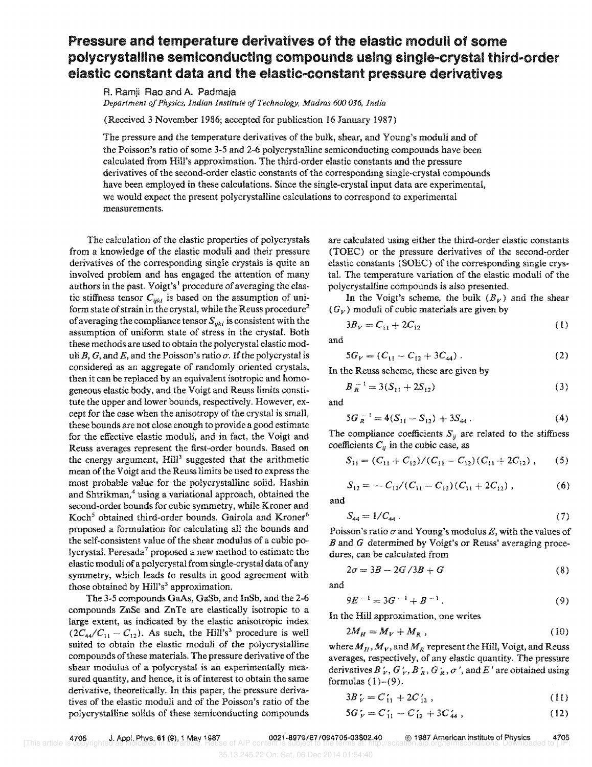## **Pressure and temperature derivatives of the elastic moduli of some**  polycrystalline semiconducting compounds using single-crystal third-order elastic constant data and the elastic-constant pressure derivatives

R. Ramji Rao and A. Padmaja *Department 0/ Physics, Indian Institute o/Technology, Madras 600 036, India* 

(Received 3 November 1986; accepted for publication 16 January 1987)

The pressure and the temperature derivatives of the bulk, shear, and Young's moduli and of the Poisson's ratio of some 3-5 and 2-6 polycrystalline semiconducting compounds have been calculated from Hill's approximation. The third-order elastic constants and the pressure derivatives of the second-order elastic constants of the corresponding single-crystal compounds have been employed in these calculations. Since the single-crystal input data are experimental, we would expect the present polycrystaHine calculations to correspond to experimental measurements.

The calculation of the elastic properties of polycrystals from a knowledge of the elastic moduli and their pressure derivatives of the corresponding single crystais is quite an involved problem and has engaged the attention of many authors in the past. Voigt's' procedure of averaging the elas*tic stiffness tensor*  $C_{ijkl}$  is based on the assumption of uniform state of strain in the crystal, while the Reuss procedure<sup>2</sup> of averaging the compliance tensor  $S_{ijk}$  is consistent with the assumption of uniform state of stress in the crystal. Both these methods are used to obtain the polycrystal elastic moduli B, G, and E, and the Poisson's ratio  $\sigma$ . If the polycrystal is considered as an aggregate of randomly oriented crystals, then it can be replaced by an equivalent isotropic and homogeneous elastic body, and the Voigt and Reuss limits constitute the upper and lower bounds, respectively. However, except for the case when the anisotropy of the crystal is small, these bounds are not close enough to provide a good estimate for the effective elastic moduli, and in fact, the Voigt and Reuss averages represent the first-order bounds. Based on the energy argument,  $Hill^3$  suggested that the arithmetic mean of the Voigt and the Reuss limits be used to express the most probable value for the polycrystalline solid. Hashin and Shtrikman,<sup>4</sup> using a variational approach, obtained the second-order bounds for cubic symmetry, while Kroner and Koch<sup>5</sup> obtained third-order bounds. Gairola and Kroner<sup>6</sup> proposed a formulation for calculating all the bounds and the self-consistent value of the shear modulus of a cubic polycrystal. Peresada<sup>7</sup> proposed a new method to estimate the elastic moduli of a pclycrystal from single-crystal data of any symmetry, which leads to results in good agreement with those obtained by  $Hill's<sup>3</sup>$  approximation.

The 3-5 compounds GaAs, GaSb, and InSb, and the 2-6 compounds ZnSe and ZnTe are elastically isotropic to a large extent, as indicated by the elastic anisotropic index  $(2C_{44}/C_{11} - C_{12})$ . As such, the Hill's<sup>3</sup> procedure is well suited to obtain the elastic moduli of the polycrystalline compounds of these materials. The pressure derivative of the shear modulus of a polycrystal is an experimentally measured quantity, and hence, it is of interest to obtain the same derivative, theoretically. In this paper, the pressure derivatives of the elastic moduli and of the Poisson's ratio of the polycrystalline solids of these semiconducting compounds

are calculated using either the third-order elastic constants (TOEC) or the pressure derivatives of the second-order elastic constants (SOEC) of the corresponding single crystal. The temperature variation of the elastic moduli of the polycrystalline compounds is also presented.

In the Voigt's scheme, the bulk  $(B_V)$  and the shear  $(G_V)$  moduli of cubic materials are given by

$$
3B_V = C_{11} + 2C_{12} \tag{1}
$$

and

$$
5G_V = (C_{11} - C_{12} + 3C_{44}) \tag{2}
$$

In the Reuss scheme, these are given by

$$
B_R^{-1} = 3(S_{11} + 2S_{12})
$$
 (3)

and

$$
5G_R^{-1} = 4(S_{11} - S_{12}) + 3S_{44} \,. \tag{4}
$$

The compliance coefficients  $S_{ij}$  are related to the stiffness coefficients  $C_{ij}$  in the cubic case, as

$$
S_{11} = (C_{11} + C_{12})/(C_{11} - C_{12})(C_{11} + 2C_{12}), \qquad (5)
$$

$$
S_{12} = -C_{12}/(C_{11} - C_{12})(C_{11} + 2C_{12}), \qquad (6)
$$

and

$$
S_{44} = 1/C_{44} \,. \tag{7}
$$

Poisson's ratio  $\sigma$  and Young's modulus *E*, with the values of Band *G* determined by Voigt's or Reuss' averaging procedures, can be calculated from

$$
2\sigma = 3B - 2G/3B + G \tag{8}
$$

and

$$
9E^{-1} = 3G^{-1} + B^{-1}.
$$
 (9)

In the Hill approximation, one writes

$$
2M_H = M_V + M_R \t\t(10)
$$

where  $M_{\mu}$ ,  $M_{\nu}$ , and  $M_{\kappa}$  represent the Hill, Voigt, and Reuss averages, respectively, of any elastic quantity. The pressure derivatives B  $\gamma$ , G  $\gamma$ , B  $\gamma$ , G  $\gamma$ ,  $\sigma$ ,  $\sigma$ , and E  $\gamma$  are obtained using formulas  $(1)-(9)$ .

$$
3B_V' = C_{11}' + 2C_{12}'\,,\tag{11}
$$

$$
5G_V' = C_{11}' - C_{12}' + 3C_{44}'\,,\tag{12}
$$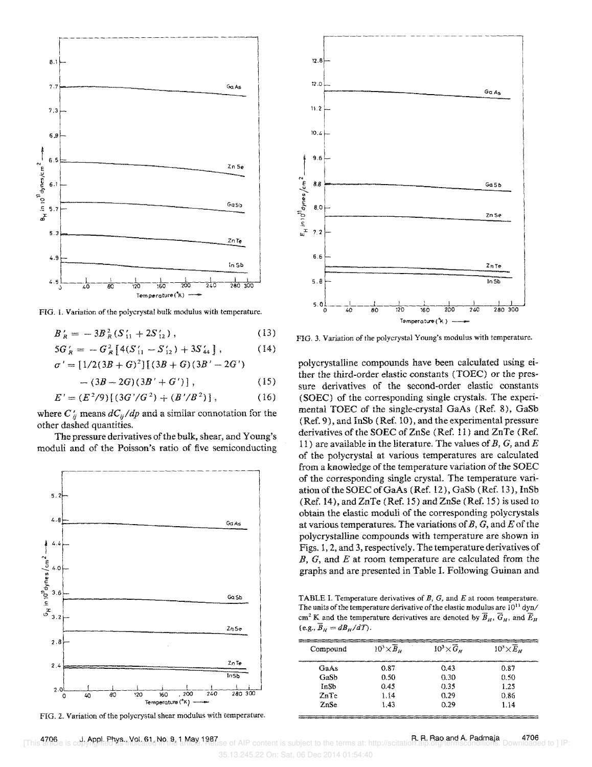

FIG. 1. Variation of the polycrystal bulk modulus with temperature.

$$
B_R' = -3B_R^2 (S_{11}' + 2S_{12}'), \qquad (13)
$$

$$
5G'_R = -G_R^2 \left[ 4(S'_{11} - S'_{12}) + 3S'_{44} \right], \tag{14}
$$

$$
\sigma' = [1/2(3B+G)^{2}][(3B+G)(3B'-2G')
$$

 $-(3B-2G)(3B'+G')$ ,  $(15)$ 

$$
E' = (E2/9)[(3G'/G2) + (B'/B2)], \t(16)
$$

where  $C'_{ij}$  means  $dC_{ij}/dp$  and a similar connotation for the other dashed quantities.

The pressure derivatives of the bulk, shear, and Young's moduli and of the Poisson's ratio of five semiconducting



FIG. 2. Variation of the polycrystal shear modulus with temperature.

J. Appl. Phys., Vol. 61, No. 9, 1 May 1987

4706



FIG. 3. Variation of the polycrystal Young's modulus with temperature.

polycrystalline compounds have been calculated using either the third-order elastic constants (TOEC) or the pressure derivatives of the second-order elastic constants (SOEC) of the corresponding single crystals. The experimental TOEC of the single-crystal GaAs (Ref. 8), GaSb (Ref. 9), and InSb (Ref. 10), and the experimental pressure derivatives of the SOEC of ZnSe (Ref. 11) and ZnTe (Ref. 11) are available in the literature. The values of B, G, and E of the polycrystal at various temperatures are calculated from a knowledge of the temperature variation of the SOEC of the corresponding single crystal. The temperature variation of the SOEC of GaAs (Ref. 12), GaSb (Ref. 13), InSb  $(Ref. 14)$ , and  $ZnTe (Ref. 15)$  and  $ZnSe (Ref. 15)$  is used to obtain the elastic moduli of the corresponding polycrystals at various temperatures. The variations of  $B$ ,  $G$ , and  $E$  of the polycrystalline compounds with temperature are shown in Figs. 1, 2, and 3, respectively. The temperature derivatives of  $B, G,$  and  $E$  at room temperature are calculated from the graphs and are presented in Table I. Following Guinan and

TABLE I. Temperature derivatives of  $B$ ,  $G$ , and  $E$  at room temperature. The units of the temperature derivative of the elastic modulus are  $10^{11}$  dyn/ cm<sup>2</sup> K and the temperature derivatives are denoted by  $\overline{B}_H$ ,  $\overline{G}_H$ , and  $\overline{E}_H$  $(e.g., \overline{B}_H = dB_H/dT).$ 

| Compound | $10^3 \times \overline{B}_H$ | $10^3 \times \overline{G}_{\nu}$ | $10^3 \times \overline{E}_H$ |  |
|----------|------------------------------|----------------------------------|------------------------------|--|
| GaAs     | 0.87                         | 0.43                             | 0.87                         |  |
| GaSh     | 0.50                         | 0.30                             | 0.50                         |  |
| InSb     | 0.45                         | 0.35                             | 1.25                         |  |
| ZnTe     | 1.14                         | 0.29                             | 0.86                         |  |
| ZnSe     | 1.43                         | በ ንዓ                             | 1.14                         |  |

35.13.245.22 On: Sat, 06 Dec 2014 01:54:40

of AIP content is subject to the terms at: http://scitat